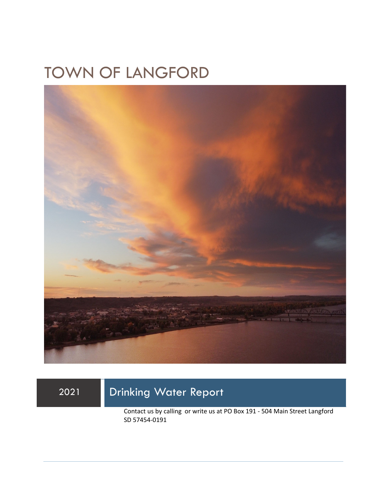## TOWN OF LANGFORD



## 2021 Drinking Water Report

Contact us by calling or write us at PO Box 191 - 504 Main Street Langford SD 57454-0191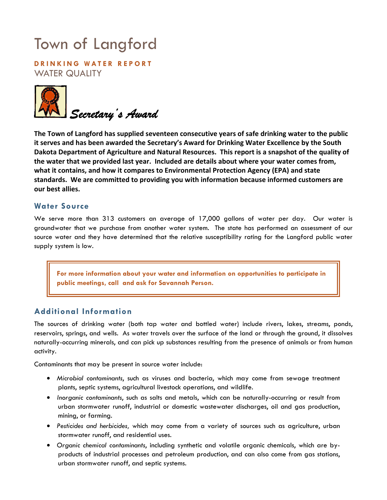# Town of Langford

**DRINKING WATER REPORT**  WATER QUALITY



**The Town of Langford has supplied seventeen consecutive years of safe drinking water to the public it serves and has been awarded the Secretary's Award for Drinking Water Excellence by the South Dakota Department of Agriculture and Natural Resources. This report is a snapshot of the quality of the water that we provided last year. Included are details about where your water comes from, what it contains, and how it compares to Environmental Protection Agency (EPA) and state standards. We are committed to providing you with information because informed customers are our best allies.** 

#### **Water Source**

We serve more than 313 customers an average of 17,000 gallons of water per day. Our water is groundwater that we purchase from another water system. The state has performed an assessment of our source water and they have determined that the relative susceptibility rating for the Langford public water supply system is low.

**For more information about your water and information on opportunities to participate in public meetings, call and ask for Savannah Person.** 

### **Additional Information**

The sources of drinking water (both tap water and bottled water) include rivers, lakes, streams, ponds, reservoirs, springs, and wells. As water travels over the surface of the land or through the ground, it dissolves naturally-occurring minerals, and can pick up substances resulting from the presence of animals or from human activity.

Contaminants that may be present in source water include:

- *Microbial contaminants*, such as viruses and bacteria, which may come from sewage treatment plants, septic systems, agricultural livestock operations, and wildlife.
- *Inorganic contaminants*, such as salts and metals, which can be naturally-occurring or result from urban stormwater runoff, industrial or domestic wastewater discharges, oil and gas production, mining, or farming.
- *Pesticides and herbicides,* which may come from a variety of sources such as agriculture, urban stormwater runoff, and residential uses.
- *Organic chemical contaminants*, including synthetic and volatile organic chemicals, which are byproducts of industrial processes and petroleum production, and can also come from gas stations, urban stormwater runoff, and septic systems.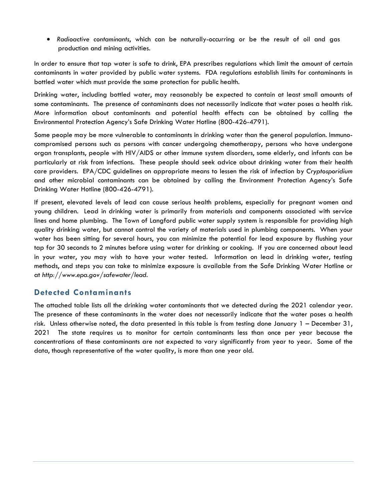• *Radioactive contaminants*, which can be naturally-occurring or be the result of oil and gas production and mining activities.

In order to ensure that tap water is safe to drink, EPA prescribes regulations which limit the amount of certain contaminants in water provided by public water systems. FDA regulations establish limits for contaminants in bottled water which must provide the same protection for public health.

Drinking water, including bottled water, may reasonably be expected to contain at least small amounts of some contaminants. The presence of contaminants does not necessarily indicate that water poses a health risk. More information about contaminants and potential health effects can be obtained by calling the Environmental Protection Agency's Safe Drinking Water Hotline (800-426-4791).

Some people may be more vulnerable to contaminants in drinking water than the general population. Immunocompromised persons such as persons with cancer undergoing chemotherapy, persons who have undergone organ transplants, people with HIV/AIDS or other immune system disorders, some elderly, and infants can be particularly at risk from infections. These people should seek advice about drinking water from their health care providers. EPA/CDC guidelines on appropriate means to lessen the risk of infection by *Cryptosporidium* and other microbial contaminants can be obtained by calling the Environment Protection Agency's Safe Drinking Water Hotline (800-426-4791).

If present, elevated levels of lead can cause serious health problems, especially for pregnant women and young children. Lead in drinking water is primarily from materials and components associated with service lines and home plumbing. The Town of Langford public water supply system is responsible for providing high quality drinking water, but cannot control the variety of materials used in plumbing components. When your water has been sitting for several hours, you can minimize the potential for lead exposure by flushing your tap for 30 seconds to 2 minutes before using water for drinking or cooking. If you are concerned about lead in your water, you may wish to have your water tested. Information on lead in drinking water, testing methods, and steps you can take to minimize exposure is available from the Safe Drinking Water Hotline or at *http://www.epa.gov/safewater/lead*.

### **Detected Contaminants**

The attached table lists all the drinking water contaminants that we detected during the 2021 calendar year. The presence of these contaminants in the water does not necessarily indicate that the water poses a health risk. Unless otherwise noted, the data presented in this table is from testing done January 1 – December 31, 2021 The state requires us to monitor for certain contaminants less than once per year because the concentrations of these contaminants are not expected to vary significantly from year to year. Some of the data, though representative of the water quality, is more than one year old.